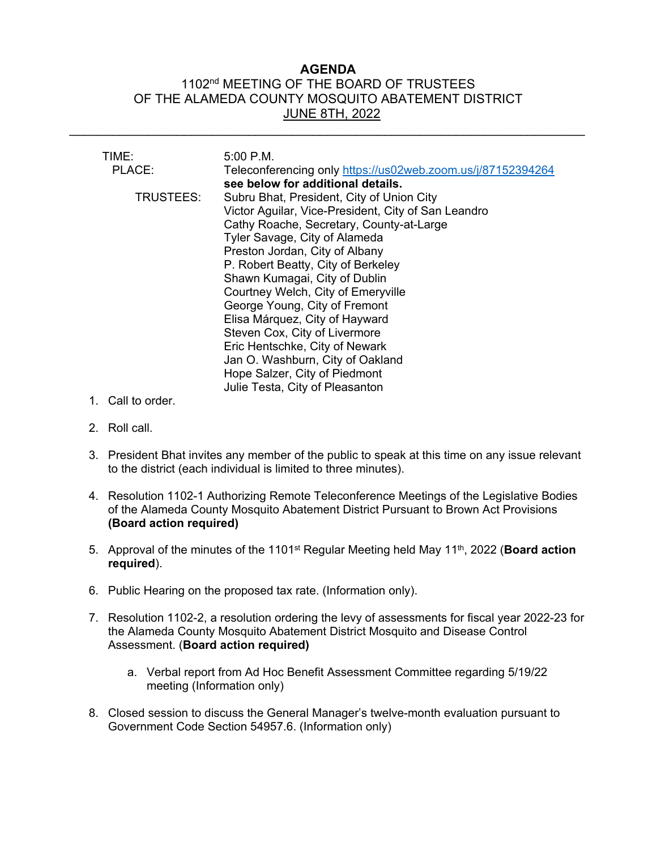# **AGENDA** 1102<sup>nd</sup> MEETING OF THE BOARD OF TRUSTEES OF THE ALAMEDA COUNTY MOSQUITO ABATEMENT DISTRICT JUNE 8TH, 2022

\_\_\_\_\_\_\_\_\_\_\_\_\_\_\_\_\_\_\_\_\_\_\_\_\_\_\_\_\_\_\_\_\_\_\_\_\_\_\_\_\_\_\_\_\_\_\_\_\_\_\_\_\_\_\_\_\_\_\_\_\_\_\_\_\_\_\_\_\_\_\_\_

| TIME:     | $5:00$ P.M.                                                 |
|-----------|-------------------------------------------------------------|
| PLACE:    | Teleconferencing only https://us02web.zoom.us/j/87152394264 |
|           | see below for additional details.                           |
| TRUSTEES: | Subru Bhat, President, City of Union City                   |
|           | Victor Aguilar, Vice-President, City of San Leandro         |
|           | Cathy Roache, Secretary, County-at-Large                    |
|           | Tyler Savage, City of Alameda                               |
|           | Preston Jordan, City of Albany                              |
|           | P. Robert Beatty, City of Berkeley                          |
|           | Shawn Kumagai, City of Dublin                               |
|           | Courtney Welch, City of Emeryville                          |
|           | George Young, City of Fremont                               |
|           | Elisa Márquez, City of Hayward                              |
|           | Steven Cox, City of Livermore                               |
|           | Eric Hentschke, City of Newark                              |
|           | Jan O. Washburn, City of Oakland                            |
|           | Hope Salzer, City of Piedmont                               |
|           | Julie Testa, City of Pleasanton                             |

- 1. Call to order.
- 2. Roll call.
- 3. President Bhat invites any member of the public to speak at this time on any issue relevant to the district (each individual is limited to three minutes).
- 4. Resolution 1102-1 Authorizing Remote Teleconference Meetings of the Legislative Bodies of the Alameda County Mosquito Abatement District Pursuant to Brown Act Provisions **(Board action required)**
- 5. Approval of the minutes of the 1101st Regular Meeting held May 11th, 2022 (**Board action required**).
- 6. Public Hearing on the proposed tax rate. (Information only).
- 7. Resolution 1102-2, a resolution ordering the levy of assessments for fiscal year 2022-23 for the Alameda County Mosquito Abatement District Mosquito and Disease Control Assessment. (**Board action required)**
	- a. Verbal report from Ad Hoc Benefit Assessment Committee regarding 5/19/22 meeting (Information only)
- 8. Closed session to discuss the General Manager's twelve-month evaluation pursuant to Government Code Section 54957.6. (Information only)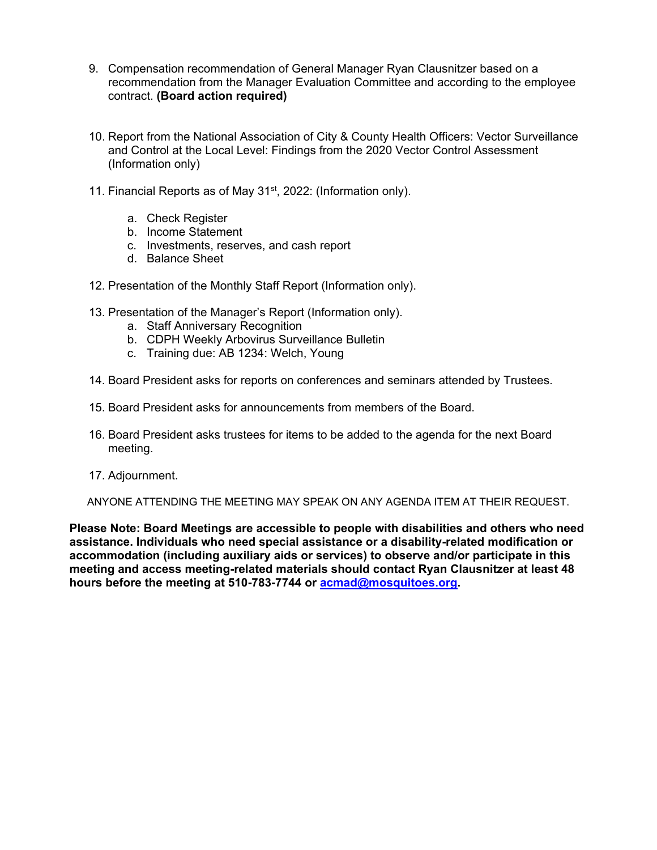- 9. Compensation recommendation of General Manager Ryan Clausnitzer based on a recommendation from the Manager Evaluation Committee and according to the employee contract. **(Board action required)**
- 10. Report from the National Association of City & County Health Officers: Vector Surveillance and Control at the Local Level: Findings from the 2020 Vector Control Assessment (Information only)
- 11. Financial Reports as of May 31<sup>st</sup>, 2022: (Information only).
	- a. Check Register
	- b. Income Statement
	- c. Investments, reserves, and cash report
	- d. Balance Sheet
- 12. Presentation of the Monthly Staff Report (Information only).
- 13. Presentation of the Manager's Report (Information only).
	- a. Staff Anniversary Recognition
	- b. CDPH Weekly Arbovirus Surveillance Bulletin
	- c. Training due: AB 1234: Welch, Young
- 14. Board President asks for reports on conferences and seminars attended by Trustees.
- 15. Board President asks for announcements from members of the Board.
- 16. Board President asks trustees for items to be added to the agenda for the next Board meeting.
- 17. Adjournment.

ANYONE ATTENDING THE MEETING MAY SPEAK ON ANY AGENDA ITEM AT THEIR REQUEST.

**Please Note: Board Meetings are accessible to people with disabilities and others who need assistance. Individuals who need special assistance or a disability-related modification or accommodation (including auxiliary aids or services) to observe and/or participate in this meeting and access meeting-related materials should contact Ryan Clausnitzer at least 48 hours before the meeting at 510-783-7744 or [acmad@mosquitoes.org.](mailto:acmad@mosquitoes.org)**